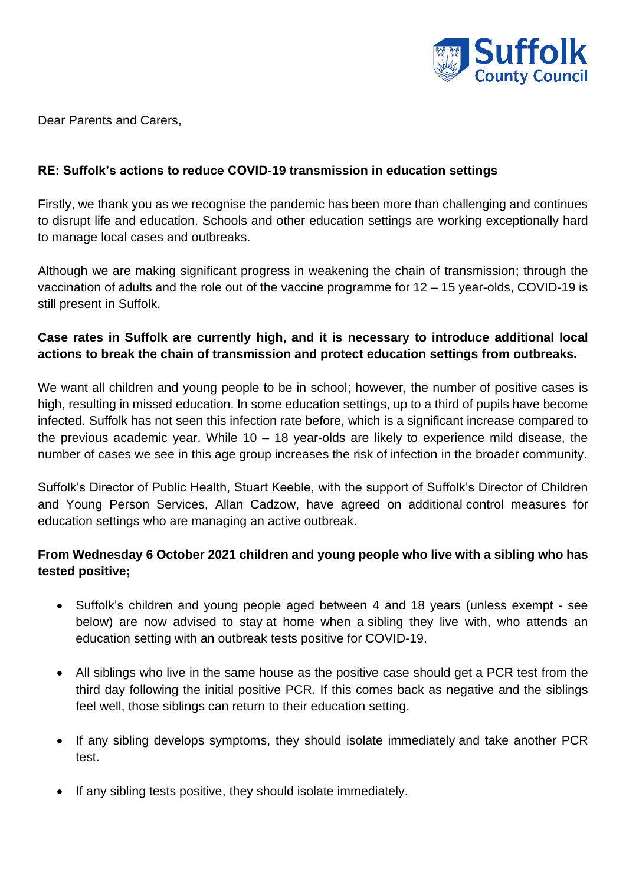

Dear Parents and Carers,

## **RE: Suffolk's actions to reduce COVID-19 transmission in education settings**

Firstly, we thank you as we recognise the pandemic has been more than challenging and continues to disrupt life and education. Schools and other education settings are working exceptionally hard to manage local cases and outbreaks.

Although we are making significant progress in weakening the chain of transmission; through the vaccination of adults and the role out of the vaccine programme for 12 – 15 year-olds, COVID-19 is still present in Suffolk.

## **Case rates in Suffolk are currently high, and it is necessary to introduce additional local actions to break the chain of transmission and protect education settings from outbreaks.**

We want all children and young people to be in school; however, the number of positive cases is high, resulting in missed education. In some education settings, up to a third of pupils have become infected. Suffolk has not seen this infection rate before, which is a significant increase compared to the previous academic year. While  $10 - 18$  year-olds are likely to experience mild disease, the number of cases we see in this age group increases the risk of infection in the broader community.

Suffolk's Director of Public Health, Stuart Keeble, with the support of Suffolk's Director of Children and Young Person Services, Allan Cadzow, have agreed on additional control measures for education settings who are managing an active outbreak.

## **From Wednesday 6 October 2021 children and young people who live with a sibling who has tested positive;**

- Suffolk's children and young people aged between 4 and 18 years (unless exempt see below) are now advised to stay at home when a sibling they live with, who attends an education setting with an outbreak tests positive for COVID-19.
- All siblings who live in the same house as the positive case should get a PCR test from the third day following the initial positive PCR. If this comes back as negative and the siblings feel well, those siblings can return to their education setting.
- If any sibling develops symptoms, they should isolate immediately and take another PCR test.
- If any sibling tests positive, they should isolate immediately.